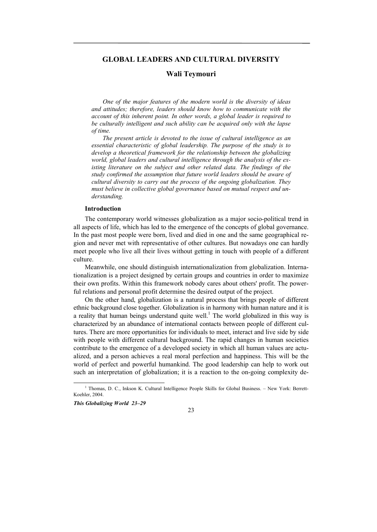# **GLOBAL LEADERS AND CULTURAL DIVERSITY**

### **Wali Teymouri**

*One of the major features of the modern world is the diversity of ideas and attitudes; therefore, leaders should know how to communicate with the account of this inherent point. In other words, a global leader is required to be culturally intelligent and such ability can be acquired only with the lapse of time.* 

*The present article is devoted to the issue of cultural intelligence as an essential characteristic of global leadership. The purpose of the study is to develop a theoretical framework for the relationship between the globalizing world, global leaders and cultural intelligence through the analysis of the existing literature on the subject and other related data. The findings of the study confirmed the assumption that future world leaders should be aware of cultural diversity to carry out the process of the ongoing globalization. They must believe in collective global governance based on mutual respect and understanding.* 

#### **Introduction**

The contemporary world witnesses globalization as a major socio-political trend in all aspects of life, which has led to the emergence of the concepts of global governance. In the past most people were born, lived and died in one and the same geographical region and never met with representative of other cultures. But nowadays one can hardly meet people who live all their lives without getting in touch with people of a different culture.

Meanwhile, one should distinguish internationalization from globalization. Internationalization is a project designed by certain groups and countries in order to maximize their own profits. Within this framework nobody cares about others' profit. The powerful relations and personal profit determine the desired output of the project.

On the other hand, globalization is a natural process that brings people of different ethnic background close together. Globalization is in harmony with human nature and it is a reality that human beings understand quite well.<sup>1</sup> The world globalized in this way is characterized by an abundance of international contacts between people of different cultures. There are more opportunities for individuals to meet, interact and live side by side with people with different cultural background. The rapid changes in human societies contribute to the emergence of a developed society in which all human values are actualized, and a person achieves a real moral perfection and happiness. This will be the world of perfect and powerful humankind. The good leadership can help to work out such an interpretation of globalization; it is a reaction to the on-going complexity de-

*This Globalizing World 23–29*

23

 $\overline{\phantom{a}}$ <sup>1</sup> Thomas, D. C., Inkson K. Cultural Intelligence People Skills for Global Business. - New York: Berrett-Koehler, 2004.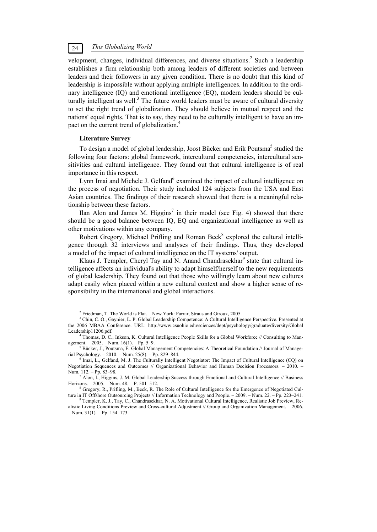# *This Globalizing World* 24

velopment, changes, individual differences, and diverse situations.<sup>2</sup> Such a leadership establishes a firm relationship both among leaders of different societies and between leaders and their followers in any given condition. There is no doubt that this kind of leadership is impossible without applying multiple intelligences. In addition to the ordinary intelligence (IQ) and emotional intelligence (EQ), modern leaders should be culturally intelligent as well. $3$  The future world leaders must be aware of cultural diversity to set the right trend of globalization. They should believe in mutual respect and the nations' equal rights. That is to say, they need to be culturally intelligent to have an impact on the current trend of globalization.<sup>4</sup>

#### **Literature Survey**

To design a model of global leadership, Joost Bücker and Erik Poutsma<sup>5</sup> studied the following four factors: global framework, intercultural competencies, intercultural sensitivities and cultural intelligence. They found out that cultural intelligence is of real importance in this respect.

Lynn Imai and Michele J. Gelfand<sup>6</sup> examined the impact of cultural intelligence on the process of negotiation. Their study included 124 subjects from the USA and East Asian countries. The findings of their research showed that there is a meaningful relationship between these factors.

Ilan Alon and James M. Higgins<sup>7</sup> in their model (see Fig. 4) showed that there should be a good balance between IQ, EQ and organizational intelligence as well as other motivations within any company.

Robert Gregory, Michael Prifling and Roman Beck<sup>8</sup> explored the cultural intelligence through 32 interviews and analyses of their findings. Thus, they developed a model of the impact of cultural intelligence on the IT systems' output.

Klaus J. Templer, Cheryl Tay and N. Anand Chandrasekhar<sup>9</sup> state that cultural intelligence affects an individual's ability to adapt himself/herself to the new requirements of global leadership. They found out that those who willingly learn about new cultures adapt easily when placed within a new cultural context and show a higher sense of responsibility in the international and global interactions.

 $\frac{1}{2}$ <sup>2</sup> Friedman, T. The World is Flat. – New York: Farrar, Straus and Giroux, 2005.

<sup>&</sup>lt;sup>3</sup> Chin, C. O., Gaynier, L. P. Global Leadership Competence: A Cultural Intelligence Perspective. Presented at the 2006 MBAA Conference. URL: http://www.csuohio.edu/sciences/dept/psychology/graduate/diversity/Global Leadership11206.pdf.

Thomas, D. C., Inkson, K. Cultural Intelligence People Skills for a Global Workforce  $//$  Consulting to Management. – 2005. – Num.  $16(1)$ . – Pp. 5–9.

 $<sup>5</sup> Bücker, J., Poutsma, E. Global Management Competencies: A Theoretical Foundation // Journal of Manage-$ </sup> rial Psychology. – 2010. – Num. 25(8). – Pp. 829–844. 6

Imai, L., Gelfand, M. J. The Culturally Intelligent Negotiator: The Impact of Cultural Intelligence (CQ) on Negotiation Sequences and Outcomes // Organizational Behavior and Human Decision Processors. – 2010. – Num. 112. – Pp. 83–98.

 $^7$  Alon, I., Higgins, J. M. Global Leadership Success through Emotional and Cultural Intelligence // Business Horizons. – 2005. – Num. 48. – P. 501–512. 8

<sup>&</sup>lt;sup>8</sup> Gregory, R., Prifling, M., Beck, R. The Role of Cultural Intelligence for the Emergence of Negotiated Culture in IT Offshore Outsourcing Projects // Information Technology and People. – 2009. – Num. 22. – Pp. 223–241.

Templer, K. J., Tay, C., Chandrasekhar, N. A. Motivational Cultural Intelligence, Realistic Job Preview, Realistic Living Conditions Preview and Cross-cultural Adjustment // Group and Organization Management. – 2006.  $-$  Num. 31(1).  $-$  Pp. 154–173.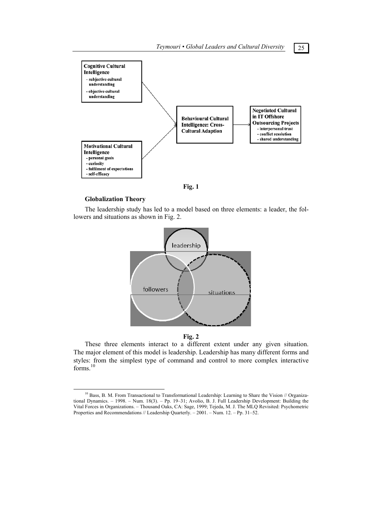*Teymouri • Global Leaders and Cultural Diversity* 25





### **Globalization Theory**

The leadership study has led to a model based on three elements: a leader, the followers and situations as shown in Fig. 2.





These three elements interact to a different extent under any given situation. The major element of this model is leadership. Leadership has many different forms and styles: from the simplest type of command and control to more complex interactive forms.<sup>10</sup>

<sup>&</sup>lt;sup>10</sup> Bass, B. M. From Transactional to Transformational Leadership: Learning to Share the Vision // Organizational Dynamics. – 1998. – Num. 18(3). – Рp. 19–31; Avolio, B. J. Full Leadership Development: Building the Vital Forces in Organizations. – Thousand Oaks, CA: Sage, 1999; Tejeda, M. J. The MLQ Revisited: Psychometric Properties and Recommendations // Leadership Quarterly. – 2001. – Num. 12. – Pp. 31–52.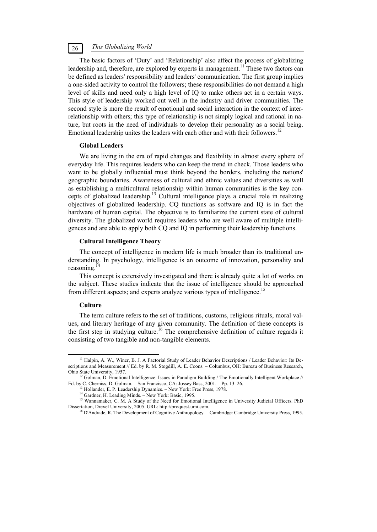# *This Globalizing World* 26

The basic factors of 'Duty' and 'Relationship' also affect the process of globalizing leadership and, therefore, are explored by experts in management.<sup>11</sup> These two factors can be defined as leaders' responsibility and leaders' communication. The first group implies a one-sided activity to control the followers; these responsibilities do not demand a high level of skills and need only a high level of IQ to make others act in a certain ways. This style of leadership worked out well in the industry and driver communities. The second style is more the result of emotional and social interaction in the context of interrelationship with others; this type of relationship is not simply logical and rational in nature, but roots in the need of individuals to develop their personality as a social being. Emotional leadership unites the leaders with each other and with their followers.<sup>12</sup>

### **Global Leaders**

We are living in the era of rapid changes and flexibility in almost every sphere of everyday life. This requires leaders who can keep the trend in check. Those leaders who want to be globally influential must think beyond the borders, including the nations' geographic boundaries. Awareness of cultural and ethnic values and diversities as well as establishing a multicultural relationship within human communities is the key concepts of globalized leadership.<sup>13</sup> Cultural intelligence plays a crucial role in realizing objectives of globalized leadership. CQ functions as software and IQ is in fact the hardware of human capital. The objective is to familiarize the current state of cultural diversity. The globalized world requires leaders who are well aware of multiple intelligences and are able to apply both CQ and IQ in performing their leadership functions.

## **Cultural Intelligence Theory**

The concept of intelligence in modern life is much broader than its traditional understanding. In psychology, intelligence is an outcome of innovation, personality and reasoning.14

This concept is extensively investigated and there is already quite a lot of works on the subject. These studies indicate that the issue of intelligence should be approached from different aspects; and experts analyze various types of intelligence.<sup>15</sup>

### **Culture**

The term culture refers to the set of traditions, customs, religious rituals, moral values, and literary heritage of any given community. The definition of these concepts is the first step in studying culture.<sup>16</sup> The comprehensive definition of culture regards it consisting of two tangible and non-tangible elements.

<sup>&</sup>lt;sup>11</sup> Halpin, A. W., Winer, B. J. A Factorial Study of Leader Behavior Descriptions / Leader Behavior: Its Descriptions and Measurement // Ed. by R. M. Stogdill, A. E. Coons. – Columbus, OH: Bureau of Business Research, Ohio State University, 1957.<br><sup>12</sup> Golman, D. Emotional Intelligence: Issues in Paradigm Building / The Emotionally Intelligent Workplace //

Ed. by C. Cherniss, D. Golman. – San Francisco, CA: Jossey Bass, 2001. – Pp. 13–26. 13 Hollander, E. P. Leadership Dynamics. – New York: Free Press, 1978.

<sup>&</sup>lt;sup>14</sup> Gardner, H. Leading Minds. – New York: Basic, 1995.

<sup>&</sup>lt;sup>15</sup> Wannamaker, C. M. A Study of the Need for Emotional Intelligence in University Judicial Officers. PhD<br>Dissertation. Drexel University. 2005. URL: http://proquest.umi.com.

<sup>&</sup>lt;sup>16</sup> D'Andrade, R. The Development of Cognitive Anthropology. – Cambridge: Cambridge University Press, 1995.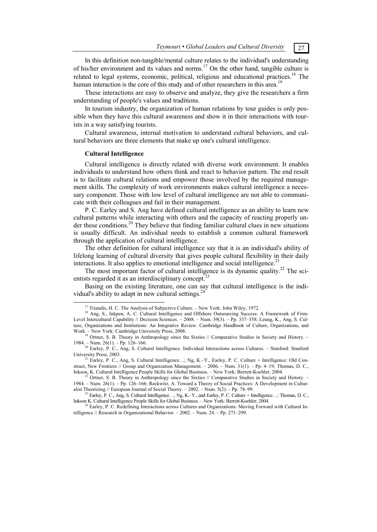# In this definition non-tangible/mental culture relates to the individual's understanding of his/her environment and its values and norms.<sup>17</sup> On the other hand, tangible culture is related to legal systems, economic, political, religious and educational practices.<sup>18</sup> The human interaction is the core of this study and of other researchers in this area.<sup>19</sup>

These interactions are easy to observe and analyze, they give the researchers a firm understanding of people's values and traditions.

In tourism industry, the organization of human relations by tour guides is only possible when they have this cultural awareness and show it in their interactions with tourists in a way satisfying tourists.

Cultural awareness, internal motivation to understand cultural behaviors, and cultural behaviors are three elements that make up one's cultural intelligence.

#### **Cultural Intelligence**

Cultural intelligence is directly related with diverse work environment. It enables individuals to understand how others think and react to behavior pattern. The end result is to facilitate cultural relations and empower those involved by the required management skills. The complexity of work environments makes cultural intelligence a necessary component. Those with low level of cultural intelligence are not able to communicate with their colleagues and fail in their management.

P. C. Earley and S. Ang have defined cultural intelligence as an ability to learn new cultural patterns while interacting with others and the capacity of reacting properly under these conditions.<sup>20</sup> They believe that finding familiar cultural clues in new situations is usually difficult. An individual needs to establish a common cultural framework through the application of cultural intelligence.

The other definition for cultural intelligence say that it is an individual's ability of lifelong learning of cultural diversity that gives people cultural flexibility in their daily interactions. It also applies to emotional intelligence and social intelligence.<sup>2</sup>

The most important factor of cultural intelligence is its dynamic quality.<sup>22</sup> The scientists regarded it as an interdisciplinary concept.<sup>2</sup>

Basing on the existing literature, one can say that cultural intelligence is the individual's ability to adapt in new cultural settings.<sup>24</sup>

<sup>&</sup>lt;sup>17</sup> Triandis, H. C. The Analysis of Subjective Culture. – New York: John Wiley, 1972.

<sup>&</sup>lt;sup>18</sup> Ang, S., Inkpen, A. C. Cultural Intelligence and Offshore Outsourcing Success: A Framework of Firm-Level Intercultural Capability // Decision Sciences. – 2008. – Num. 39(3). – Pp. 337–358; Leung, K., Ang, S. Culture, Organizations and Institutions: An Integrative Review. Cambridge Handbook of Culture, Organizations, and

Work. – New York: Cambridge University Press, 2008.<br><sup>19</sup> Ortner, S. B. Theory in Anthropology since the Sixties // Comparative Studies in Society and History. –<br>1984. – Num. 26(1). – Pp. 126–166.

<sup>&</sup>lt;sup>20</sup> Earley, P. C., Ang, S. Cultural Intelligence. Individual Interactions across Cultures. – Stanford: Stanford University Press, 2003.<br><sup>21</sup> Earley, P. C., Ang, S. Cultural Intelligence…; Ng, K.–Y., Earley, P. C. Culture + Intelligence: Old Con-

struct, New Frontiers // Group and Organization Management. – 2006. – Num. 31(1). – Pp. 4–19; Thomas, D. C., Inkson, K. Cultural Intelligence People Skills for Global Business. – New York: Berrett-Koehler, 2004.

<sup>&</sup>lt;sup>22</sup> Ortner, S. B. Theory in Anthropology since the Sixties // Comparative Studies in Society and History. – 1984. – Num. 26(1). – Pp. 126–166; Reckwitz, A. Toward a Theory of Social Practices: A Development in Culturalist Theorizing // European Journal of Social Theory. – 2002. – Num. 5(2). – Pp. 78–99.<br><sup>23</sup> Earley, P. C., Ang, S. Cultural Intelligence…; Ng, K.–Y., and Earley, P. C. Culture + Intelligence…; Thomas, D. C.,

Inkson K. Cultural Intelligence People Skills for Global Business. – New York: Berrett-Koehler, 2004. 24 Earley, P. C. Redefining Interactions across Cultures and Organizations: Moving Forward with Cultural In-

telligence // Research in Organizational Behavior. – 2002. – Num. 24. – Pp. 271–299.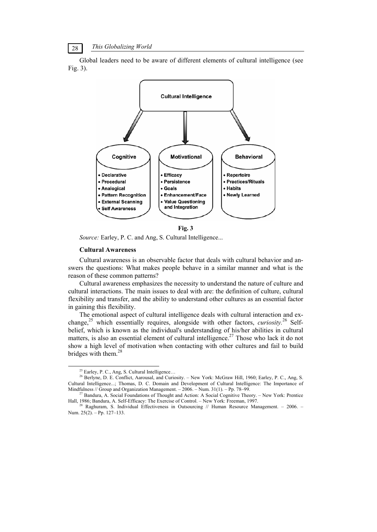*This Globalizing World* 28

Global leaders need to be aware of different elements of cultural intelligence (see Fig. 3).



**Fig. 3** 

*Source:* Earley, P. C. and Ang, S. Cultural Intelligence...

#### **Cultural Awareness**

Cultural awareness is an observable factor that deals with cultural behavior and answers the questions: What makes people behave in a similar manner and what is the reason of these common patterns?

Cultural awareness emphasizes the necessity to understand the nature of culture and cultural interactions. The main issues to deal with are: the definition of culture, cultural flexibility and transfer, and the ability to understand other cultures as an essential factor in gaining this flexibility.

The emotional aspect of cultural intelligence deals with cultural interaction and exchange,25 which essentially requires, alongside with other factors, *curiosity.*26 Selfbelief, which is known as the individual's understanding of his/her abilities in cultural matters, is also an essential element of cultural intelligence.<sup>27</sup> Those who lack it do not show a high level of motivation when contacting with other cultures and fail to build bridges with them.<sup>28</sup>

<sup>&</sup>lt;sup>25</sup> Earley, P. C., Ang, S. Cultural Intelligence...

<sup>&</sup>lt;sup>26</sup> Berlyne, D. E. Conflict, Aarousal, and Curiosity. – New York: McGraw Hill, 1960; Earley, P. C., Ang, S. Cultural Intelligence...; Thomas, D. C. Domain and Development of Cultural Intelligence: The Importance of Mindfulness // Group and Organization Management. – 2006. – Num. 31(1). – Pp. 78–99.

<sup>&</sup>lt;sup>27</sup> Bandura, A. Social Foundations of Thought and Action: A Social Cognitive Theory. – New York: Prentice Hall, 1986; Bandura, A. Self-Efficacy: The Exercise of Control. – New York: Freeman, 1997.

 $\frac{28}{28}$  Raghuram, S. Individual Effectiveness in Outsourcing // Human Resource Management. – 2006. – Num. 25(2). – Pp. 127–133.